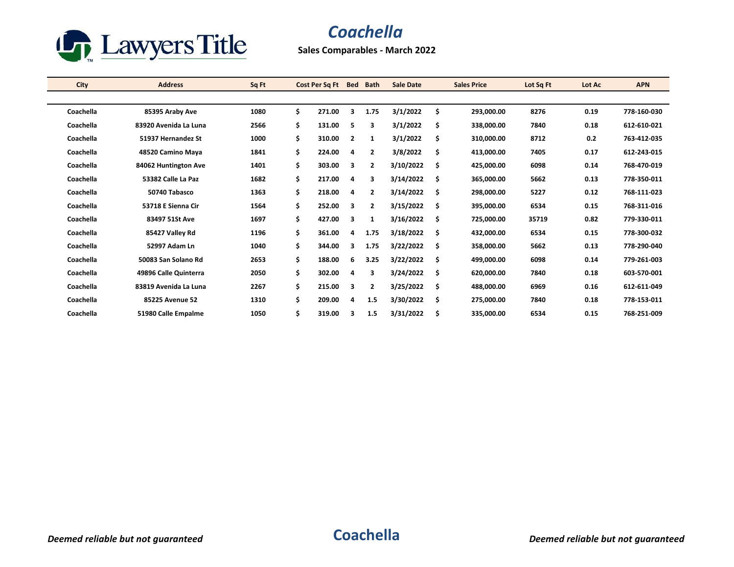

## *Coachella*

**Sales Comparables - March 2022**

| <b>City</b> | <b>Address</b>        | Sq Ft |     | Cost Per Sq Ft | <b>Bed</b>     | <b>Bath</b>    | <b>Sale Date</b> |     | <b>Sales Price</b> | Lot Sq Ft | Lot Ac | <b>APN</b>  |
|-------------|-----------------------|-------|-----|----------------|----------------|----------------|------------------|-----|--------------------|-----------|--------|-------------|
|             |                       |       |     |                |                |                |                  |     |                    |           |        |             |
| Coachella   | 85395 Araby Ave       | 1080  | \$. | 271.00         | 3              | 1.75           | 3/1/2022         | \$  | 293,000.00         | 8276      | 0.19   | 778-160-030 |
| Coachella   | 83920 Avenida La Luna | 2566  | \$  | 131.00         | 5              | 3              | 3/1/2022         | \$  | 338,000.00         | 7840      | 0.18   | 612-610-021 |
| Coachella   | 51937 Hernandez St    | 1000  | \$  | 310.00         | $\overline{2}$ | 1              | 3/1/2022         | \$  | 310,000.00         | 8712      | 0.2    | 763-412-035 |
| Coachella   | 48520 Camino Maya     | 1841  | \$  | 224.00         | 4              | $\overline{2}$ | 3/8/2022         | \$  | 413,000.00         | 7405      | 0.17   | 612-243-015 |
| Coachella   | 84062 Huntington Ave  | 1401  | \$  | 303.00         | 3              | $\overline{2}$ | 3/10/2022        | \$  | 425,000.00         | 6098      | 0.14   | 768-470-019 |
| Coachella   | 53382 Calle La Paz    | 1682  | \$  | 217.00         | 4              | 3              | 3/14/2022        | \$  | 365,000.00         | 5662      | 0.13   | 778-350-011 |
| Coachella   | 50740 Tabasco         | 1363  | \$  | 218.00         | 4              | $\mathbf{2}$   | 3/14/2022        | \$  | 298,000.00         | 5227      | 0.12   | 768-111-023 |
| Coachella   | 53718 E Sienna Cir    | 1564  | \$  | 252.00         | 3              | $\mathbf{2}$   | 3/15/2022        | \$  | 395,000.00         | 6534      | 0.15   | 768-311-016 |
| Coachella   | 83497 51St Ave        | 1697  | \$  | 427.00         | 3              | 1              | 3/16/2022        | \$  | 725,000.00         | 35719     | 0.82   | 779-330-011 |
| Coachella   | 85427 Valley Rd       | 1196  | \$  | 361.00         | 4              | 1.75           | 3/18/2022        | \$  | 432,000.00         | 6534      | 0.15   | 778-300-032 |
| Coachella   | 52997 Adam Ln         | 1040  | \$  | 344.00         | 3              | 1.75           | 3/22/2022        | \$. | 358.000.00         | 5662      | 0.13   | 778-290-040 |
| Coachella   | 50083 San Solano Rd   | 2653  | \$  | 188.00         | 6              | 3.25           | 3/22/2022        | \$  | 499.000.00         | 6098      | 0.14   | 779-261-003 |
| Coachella   | 49896 Calle Quinterra | 2050  | \$  | 302.00         | 4              | 3              | 3/24/2022        | \$  | 620,000.00         | 7840      | 0.18   | 603 570 001 |
| Coachella   | 83819 Avenida La Luna | 2267  | \$  | 215.00         | 3              | $\overline{2}$ | 3/25/2022        | \$  | 488,000.00         | 6969      | 0.16   | 612-611-049 |
| Coachella   | 85225 Avenue 52       | 1310  | \$  | 209.00         | 4              | 1.5            | 3/30/2022        | \$  | 275,000.00         | 7840      | 0.18   | 778-153-011 |
| Coachella   | 51980 Calle Empalme   | 1050  | \$  | 319.00         | з              | 1.5            | 3/31/2022        | \$  | 335,000.00         | 6534      | 0.15   | 768-251-009 |